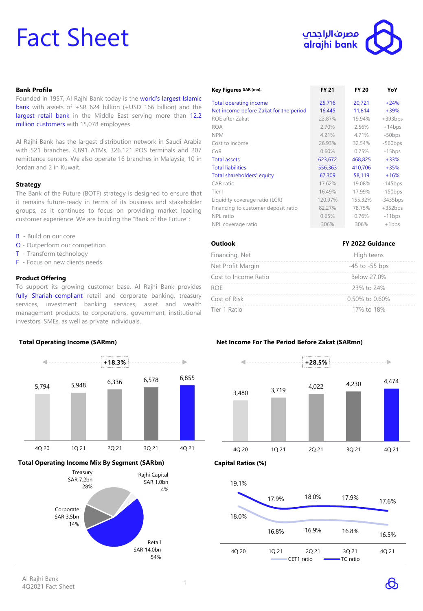# Fact Sheet



# **Bank Profile**

Founded in 1957, Al Rajhi Bank today is the world's largest Islamic bank with assets of +SR 624 billion (+USD 166 billion) and the largest retail bank in the Middle East serving more than 12.2 million customers with 15,078 employees.

Al Rajhi Bank has the largest distribution network in Saudi Arabia with 521 branches, 4,891 ATMs, 326,121 POS terminals and 207 remittance centers. We also operate 16 branches in Malaysia, 10 in Jordan and 2 in Kuwait.

### **Strategy**

The Bank of the Future (BOTF) strategy is designed to ensure that it remains future-ready in terms of its business and stakeholder groups, as it continues to focus on providing market leading customer experience. We are building the "Bank of the Future":

- **B** Build on our core
- O Outperform our competition
- T Transform technology
- F Focus on new clients needs

### **Product Offering**

To support its growing customer base, Al Rajhi Bank provides fully Shariah-compliant retail and corporate banking, treasury services, investment banking services, asset and wealth management products to corporations, government, institutional investors, SMEs, as well as private individuals.



| Key Figures SAR (mn),                  | <b>FY 21</b> | <b>FY 20</b> | YoY        |
|----------------------------------------|--------------|--------------|------------|
| <b>Total operating income</b>          | 25,716       | 20,721       | $+24%$     |
| Net income before Zakat for the period | 16,445       | 11,814       | $+39%$     |
| ROE after Zakat                        | 23.87%       | 19.94%       | $+393bps$  |
| <b>ROA</b>                             | 2.70%        | 2.56%        | $+14bps$   |
| <b>NPM</b>                             | 4.21%        | 4.71%        | $-50bps$   |
| Cost to income                         | 26.93%       | 32.54%       | $-560bps$  |
| CoR                                    | 0.60%        | 0.75%        | $-15bps$   |
| <b>Total assets</b>                    | 623,672      | 468,825      | $+33%$     |
| <b>Total liabilities</b>               | 556,363      | 410,706      | $+35%$     |
| Total shareholders' equity             | 67,309       | 58,119       | $+16%$     |
| CAR ratio                              | 17.62%       | 19.08%       | $-145$ bps |
| Tier I                                 | 16.49%       | 17.99%       | $-150bps$  |
| Liquidity coverage ratio (LCR)         | 120.97%      | 155.32%      | $-3435bps$ |
| Financing to customer deposit ratio    | 82.27%       | 78.75%       | $+352bps$  |
| NPL ratio                              | 0.65%        | 0.76%        | $-11bps$   |
| NPL coverage ratio                     | 306%         | 306%         | $+1bps$    |

| <b>Outlook</b>       | FY 2022 Guidance<br>High teens |  |  |
|----------------------|--------------------------------|--|--|
| Financing, Net       |                                |  |  |
| Net Profit Margin    | $-45$ to $-55$ bps             |  |  |
| Cost to Income Ratio | Below 27.0%                    |  |  |
| <b>ROF</b>           | 23% to 24%                     |  |  |
| Cost of Risk         | $0.50\%$ to $0.60\%$           |  |  |
| Tier 1 Ratio         | 17% to 18%                     |  |  |

# **Net Income For The Period Before Zakat (SARmn)**



| 19.1% |       |                     |                   |       |  |
|-------|-------|---------------------|-------------------|-------|--|
|       | 17.9% | 18.0%               | 17.9%             | 17.6% |  |
| 18.0% |       |                     |                   |       |  |
|       | 16.8% | 16.9%               | 16.8%             | 16.5% |  |
| 4Q 20 | 1Q 21 | 2Q 21<br>CET1 ratio | 3Q 21<br>TC ratio | 4Q 21 |  |
|       |       |                     |                   |       |  |

# Al Rajhi Bank Ar Kajiri barik<br>4Q2021 Fact Sheet 1

14%

Retail SAR 14.0bn 54%